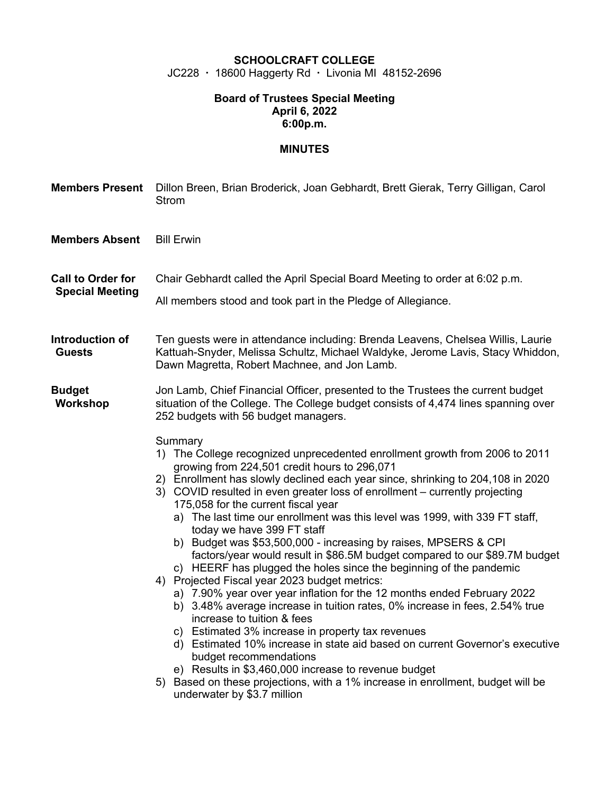## **SCHOOLCRAFT COLLEGE** JC228 · 18600 Haggerty Rd · Livonia MI 48152-2696

## **Board of Trustees Special Meeting April 6, 2022 6:00p.m.**

## **MINUTES**

| <b>Members Present</b>                             | Dillon Breen, Brian Broderick, Joan Gebhardt, Brett Gierak, Terry Gilligan, Carol<br><b>Strom</b>                                                                                                                                                                                                                                                                                                                                                                                                                                                                                                                                                                                                                                                                                                                                                                                                                                                                                                                                                                                                                                                                                                                                                                     |
|----------------------------------------------------|-----------------------------------------------------------------------------------------------------------------------------------------------------------------------------------------------------------------------------------------------------------------------------------------------------------------------------------------------------------------------------------------------------------------------------------------------------------------------------------------------------------------------------------------------------------------------------------------------------------------------------------------------------------------------------------------------------------------------------------------------------------------------------------------------------------------------------------------------------------------------------------------------------------------------------------------------------------------------------------------------------------------------------------------------------------------------------------------------------------------------------------------------------------------------------------------------------------------------------------------------------------------------|
| <b>Members Absent</b>                              | <b>Bill Erwin</b>                                                                                                                                                                                                                                                                                                                                                                                                                                                                                                                                                                                                                                                                                                                                                                                                                                                                                                                                                                                                                                                                                                                                                                                                                                                     |
| <b>Call to Order for</b><br><b>Special Meeting</b> | Chair Gebhardt called the April Special Board Meeting to order at 6:02 p.m.<br>All members stood and took part in the Pledge of Allegiance.                                                                                                                                                                                                                                                                                                                                                                                                                                                                                                                                                                                                                                                                                                                                                                                                                                                                                                                                                                                                                                                                                                                           |
| Introduction of<br><b>Guests</b>                   | Ten guests were in attendance including: Brenda Leavens, Chelsea Willis, Laurie<br>Kattuah-Snyder, Melissa Schultz, Michael Waldyke, Jerome Lavis, Stacy Whiddon,<br>Dawn Magretta, Robert Machnee, and Jon Lamb.                                                                                                                                                                                                                                                                                                                                                                                                                                                                                                                                                                                                                                                                                                                                                                                                                                                                                                                                                                                                                                                     |
| <b>Budget</b><br>Workshop                          | Jon Lamb, Chief Financial Officer, presented to the Trustees the current budget<br>situation of the College. The College budget consists of 4,474 lines spanning over<br>252 budgets with 56 budget managers.                                                                                                                                                                                                                                                                                                                                                                                                                                                                                                                                                                                                                                                                                                                                                                                                                                                                                                                                                                                                                                                         |
|                                                    | Summary<br>1) The College recognized unprecedented enrollment growth from 2006 to 2011<br>growing from 224,501 credit hours to 296,071<br>2) Enrollment has slowly declined each year since, shrinking to 204,108 in 2020<br>3) COVID resulted in even greater loss of enrollment – currently projecting<br>175,058 for the current fiscal year<br>a) The last time our enrollment was this level was 1999, with 339 FT staff,<br>today we have 399 FT staff<br>b) Budget was \$53,500,000 - increasing by raises, MPSERS & CPI<br>factors/year would result in \$86.5M budget compared to our \$89.7M budget<br>c) HEERF has plugged the holes since the beginning of the pandemic<br>4) Projected Fiscal year 2023 budget metrics:<br>a) 7.90% year over year inflation for the 12 months ended February 2022<br>b) 3.48% average increase in tuition rates, 0% increase in fees, 2.54% true<br>increase to tuition & fees<br>c) Estimated 3% increase in property tax revenues<br>d) Estimated 10% increase in state aid based on current Governor's executive<br>budget recommendations<br>e) Results in \$3,460,000 increase to revenue budget<br>5) Based on these projections, with a 1% increase in enrollment, budget will be<br>underwater by \$3.7 million |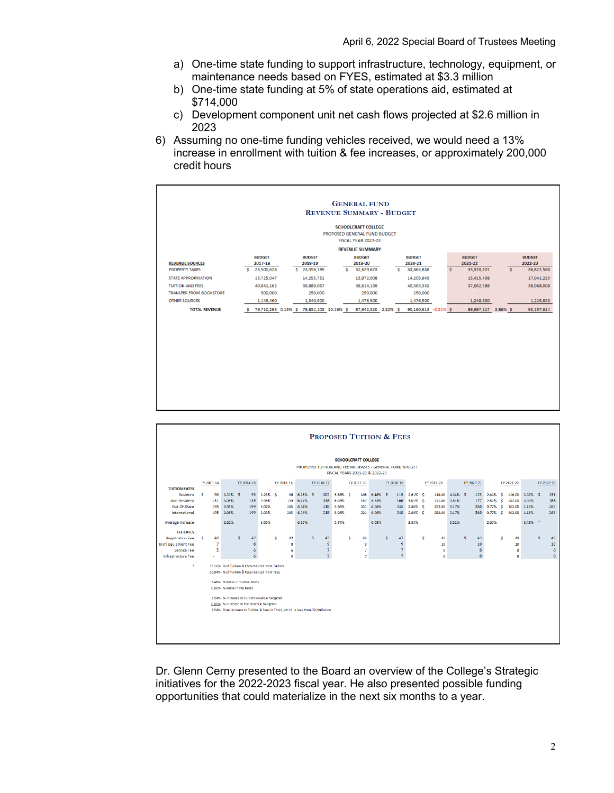- a) One-time state funding to support infrastructure, technology, equipment, or maintenance needs based on FYES, estimated at \$3.3 million
- b) One-time state funding at 5% of state operations aid, estimated at \$714,000
- c) Development component unit net cash flows projected at \$2.6 million in 2023
- 6) Assuming no one-time funding vehicles received, we would need a 13% increase in enrollment with tuition & fee increases, or approximately 200,000 credit hours



| <b>PROPOSED TUITION &amp; FEES</b>                       |                                                                                                   |             |                                          |            |                                                                                  |            |                     |                       |   |                     |              |                                  |              |            |                 |            |                     |            |              |                 |   |            |
|----------------------------------------------------------|---------------------------------------------------------------------------------------------------|-------------|------------------------------------------|------------|----------------------------------------------------------------------------------|------------|---------------------|-----------------------|---|---------------------|--------------|----------------------------------|--------------|------------|-----------------|------------|---------------------|------------|--------------|-----------------|---|------------|
| <b>SCHOOLCRAFT COLLEGE</b>                               |                                                                                                   |             |                                          |            |                                                                                  |            |                     |                       |   |                     |              |                                  |              |            |                 |            |                     |            |              |                 |   |            |
| PROPOSED TUITION AND FEE INCREASES - GENERAL FUND BUDGET |                                                                                                   |             |                                          |            |                                                                                  |            |                     |                       |   |                     |              |                                  |              |            |                 |            |                     |            |              |                 |   |            |
| FISCAL YEARS 2021-22 & 2022-23                           |                                                                                                   |             |                                          |            |                                                                                  |            |                     |                       |   |                     |              |                                  |              |            |                 |            |                     |            |              |                 |   |            |
|                                                          | FY 2013-14                                                                                        |             | FY 2014-15                               | FY 2015-16 |                                                                                  | FY 2016-17 |                     | FY 2017-18            |   |                     |              | FY 2018-19                       |              | FY 2019-20 |                 | FY 2020-21 |                     | FY 2021-22 |              |                 |   | FY 2022-23 |
| <b>TUITION RATES</b>                                     | 90<br><b>S</b>                                                                                    | $3.33\%$ \$ |                                          | 93 3.23% S |                                                                                  | 96 6.25% S |                     |                       |   |                     | 108 6.48% \$ |                                  | 115 2.61% \$ |            | 118.00 4.24% \$ |            | 123 2.44% \$        |            |              |                 |   |            |
| Resident<br>Non-Resident                                 | 131                                                                                               | 3.05%       | 135                                      | 2.96%      | 139                                                                              | 6.47%      | 148                 | 102 5.88% \$<br>6.08% |   |                     | 157 5.73%    | 166                              | $3.01\%$ \$  | 171.00     | 3.51%           | 177        | $2.82%$ \$          |            | 182.00 3.30% | 126.00 3.97% \$ |   | 131<br>188 |
| Out-Of-State                                             | 195                                                                                               | 2.05%       | 199                                      | 3.02%      | 205                                                                              | 6.34%      | 218                 | 5.96%                 |   | 231                 | 6.06%        | 245                              | 2.86% S      | 252.00     | 3.17%           | 260        | $0.77%$ S           |            | 262.00       | 1.15%           |   | 265        |
| International                                            | 195                                                                                               | 2.05%       | 199                                      | 3.02%      | 205                                                                              | 6.34%      | 218                 | 5.96%                 |   |                     | 231 6.06%    | 245                              | 2.86% \$     | 252,00     | 3.17%           |            | 260 0.77% \$ 262.00 |            |              | 1.15%           |   | 265        |
| Average Increase                                         |                                                                                                   | 2.62%       |                                          | 3.05%      |                                                                                  | 6.35%      |                     | 5.97%                 |   |                     | 6.08%        |                                  | 2.83%        |            | 3.52%           |            | 2.60%               |            |              | 3.48%           |   |            |
| <b>FEE RATES</b>                                         |                                                                                                   |             |                                          |            |                                                                                  |            |                     |                       |   |                     |              |                                  |              |            |                 |            |                     |            |              |                 |   |            |
| <b>Registration Fee</b>                                  | 40<br>s                                                                                           |             | 42<br><b>S</b>                           |            | Ś.<br>42                                                                         |            | s<br>43             |                       | s | 43                  |              | s<br>43                          |              | s.<br>43   |                 | s<br>43    |                     | s          | 43           |                 | s | 43         |
| Inst'l Equipment Fee<br>Service Fee                      | $\overline{7}$<br>5                                                                               |             | 8                                        |            | 8                                                                                |            | 9<br>$\overline{7}$ |                       |   | 9<br>$\overline{7}$ |              | 9                                |              | 10         |                 | 10         |                     |            | 10           |                 |   | 10         |
| Infrastructure Fee                                       |                                                                                                   |             | 6<br>6                                   |            | 6<br>6                                                                           |            | 7 <sup>7</sup>      |                       |   | $\overline{ }$      |              | $\overline{7}$<br>$\overline{7}$ |              | 8<br>8     |                 | 8<br>8     |                     |            | 8<br>8       |                 |   | 8<br>8     |
| ×                                                        |                                                                                                   |             |                                          |            |                                                                                  |            |                     |                       |   |                     |              |                                  |              |            |                 |            |                     |            |              |                 |   |            |
|                                                          | 73.16% % of Tuition & Fees realized from Tuition<br>26.84% % of Tuition & Fees realized from Fees |             |                                          |            |                                                                                  |            |                     |                       |   |                     |              |                                  |              |            |                 |            |                     |            |              |                 |   |            |
|                                                          |                                                                                                   |             | 3.48% % Roise in Tuition Rotes           |            |                                                                                  |            |                     |                       |   |                     |              |                                  |              |            |                 |            |                     |            |              |                 |   |            |
| 0.00% % Raise in Fee Rates                               |                                                                                                   |             |                                          |            |                                                                                  |            |                     |                       |   |                     |              |                                  |              |            |                 |            |                     |            |              |                 |   |            |
| 2.54% % Increase in Tuition Revenue Budgeted             |                                                                                                   |             |                                          |            |                                                                                  |            |                     |                       |   |                     |              |                                  |              |            |                 |            |                     |            |              |                 |   |            |
|                                                          |                                                                                                   |             | 0.00% % Increase In Fee Revenue Budgeted |            |                                                                                  |            |                     |                       |   |                     |              |                                  |              |            |                 |            |                     |            |              |                 |   |            |
|                                                          |                                                                                                   |             |                                          |            | 2.54% True Increase to Tuition & Fees in Total, which is less than CPI/Inflation |            |                     |                       |   |                     |              |                                  |              |            |                 |            |                     |            |              |                 |   |            |
|                                                          |                                                                                                   |             |                                          |            |                                                                                  |            |                     |                       |   |                     |              |                                  |              |            |                 |            |                     |            |              |                 |   |            |
|                                                          |                                                                                                   |             |                                          |            |                                                                                  |            |                     |                       |   |                     |              |                                  |              |            |                 |            |                     |            |              |                 |   |            |
|                                                          |                                                                                                   |             |                                          |            |                                                                                  |            |                     |                       |   |                     |              |                                  |              |            |                 |            |                     |            |              |                 |   |            |

Dr. Glenn Cerny presented to the Board an overview of the College's Strategic initiatives for the 2022-2023 fiscal year. He also presented possible funding opportunities that could materialize in the next six months to a year.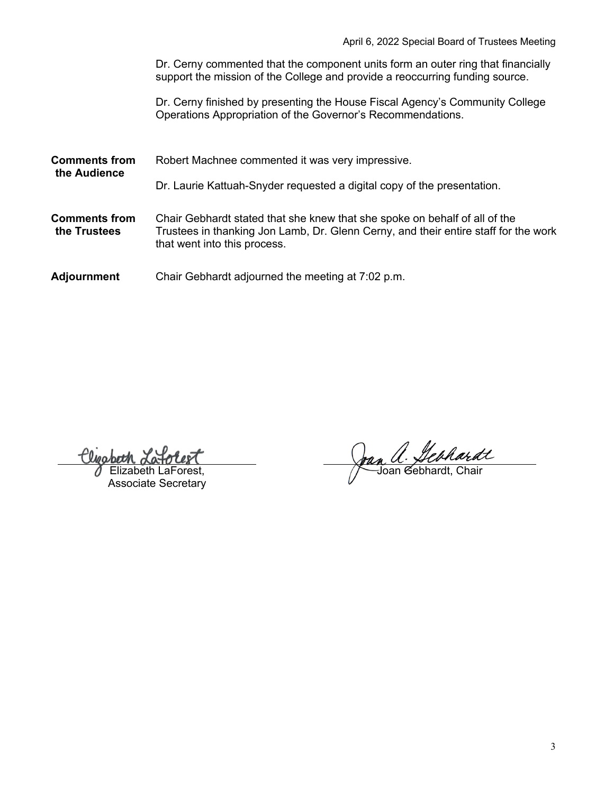Dr. Cerny commented that the component units form an outer ring that financially support the mission of the College and provide a reoccurring funding source.

Dr. Cerny finished by presenting the House Fiscal Agency's Community College Operations Appropriation of the Governor's Recommendations.

**Comments from the Audience** Robert Machnee commented it was very impressive. Dr. Laurie Kattuah-Snyder requested a digital copy of the presentation. **Comments from the Trustees** Chair Gebhardt stated that she knew that she spoke on behalf of all of the Trustees in thanking Jon Lamb, Dr. Glenn Cerny, and their entire staff for the work that went into this process.

**Adjournment** Chair Gebhardt adjourned the meeting at 7:02 p.m.

Elizabeth LaForest, Associate Secretary

Jan a. *Jebhardt*